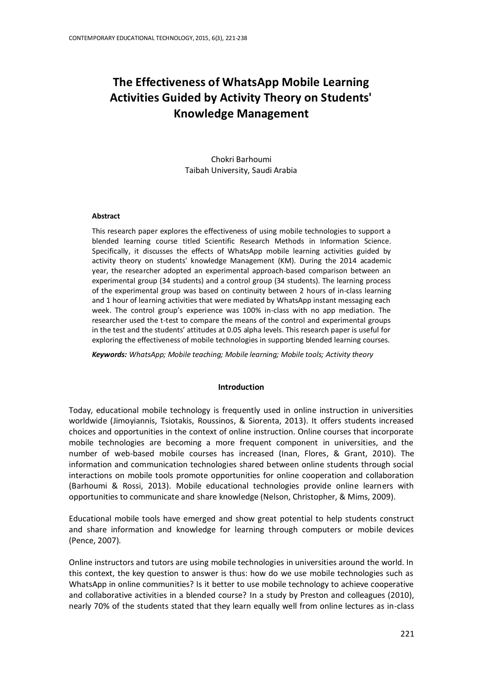# **The Effectiveness of WhatsApp Mobile Learning Activities Guided by Activity Theory on Students' Knowledge Management**

Chokri Barhoumi Taibah University, Saudi Arabia

#### **Abstract**

This research paper explores the effectiveness of using mobile technologies to support a blended learning course titled Scientific Research Methods in Information Science. Specifically, it discusses the effects of WhatsApp mobile learning activities guided by activity theory on students' knowledge Management (KM). During the 2014 academic year, the researcher adopted an experimental approach-based comparison between an experimental group (34 students) and a control group (34 students). The learning process of the experimental group was based on continuity between 2 hours of in-class learning and 1 hour of learning activities that were mediated by WhatsApp instant messaging each week. The control group's experience was 100% in-class with no app mediation. The researcher used the t-test to compare the means of the control and experimental groups in the test and the students' attitudes at 0.05 alpha levels. This research paper is useful for exploring the effectiveness of mobile technologies in supporting blended learning courses.

*Keywords: WhatsApp; Mobile teaching; Mobile learning; Mobile tools; Activity theory*

#### **Introduction**

Today, educational mobile technology is frequently used in online instruction in universities worldwide (Jimoyiannis, Tsiotakis, Roussinos, & Siorenta, 2013). It offers students increased choices and opportunities in the context of online instruction. Online courses that incorporate mobile technologies are becoming a more frequent component in universities, and the number of web-based mobile courses has increased (Inan, Flores, & Grant, 2010). The information and communication technologies shared between online students through social interactions on mobile tools promote opportunities for online cooperation and collaboration (Barhoumi & Rossi, 2013). Mobile educational technologies provide online learners with opportunities to communicate and share knowledge (Nelson, Christopher, & Mims, 2009).

Educational mobile tools have emerged and show great potential to help students construct and share information and knowledge for learning through computers or mobile devices (Pence, 2007).

Online instructors and tutors are using mobile technologies in universities around the world. In this context, the key question to answer is thus: how do we use mobile technologies such as WhatsApp in online communities? Is it better to use mobile technology to achieve cooperative and collaborative activities in a blended course? In a study by Preston and colleagues (2010), nearly 70% of the students stated that they learn equally well from online lectures as in-class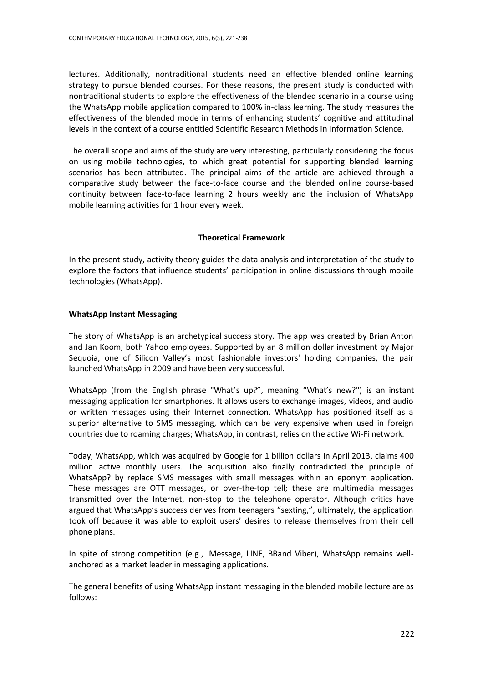lectures. Additionally, nontraditional students need an effective blended online learning strategy to pursue blended courses. For these reasons, the present study is conducted with nontraditional students to explore the effectiveness of the blended scenario in a course using the WhatsApp mobile application compared to 100% in-class learning. The study measures the effectiveness of the blended mode in terms of enhancing students' cognitive and attitudinal levels in the context of a course entitled Scientific Research Methods in Information Science.

The overall scope and aims of the study are very interesting, particularly considering the focus on using mobile technologies, to which great potential for supporting blended learning scenarios has been attributed. The principal aims of the article are achieved through a comparative study between the face-to-face course and the blended online course-based continuity between face-to-face learning 2 hours weekly and the inclusion of WhatsApp mobile learning activities for 1 hour every week.

# **Theoretical Framework**

In the present study, activity theory guides the data analysis and interpretation of the study to explore the factors that influence students' participation in online discussions through mobile technologies (WhatsApp).

# **WhatsApp Instant Messaging**

The story of WhatsApp is an archetypical success story. The app was created by Brian Anton and Jan Koom, both Yahoo employees. Supported by an 8 million dollar investment by Major Sequoia, one of Silicon Valley's most fashionable investors' holding companies, the pair launched WhatsApp in 2009 and have been very successful.

WhatsApp (from the English phrase "What's up?", meaning "What's new?") is an instant messaging application for smartphones. It allows users to exchange images, videos, and audio or written messages using their Internet connection. WhatsApp has positioned itself as a superior alternative to SMS messaging, which can be very expensive when used in foreign countries due to roaming charges; WhatsApp, in contrast, relies on the active Wi-Fi network.

Today, WhatsApp, which was acquired by Google for 1 billion dollars in April 2013, claims 400 million active monthly users. The acquisition also finally contradicted the principle of WhatsApp? by replace SMS messages with small messages within an eponym application. These messages are OTT messages, or over-the-top tell; these are multimedia messages transmitted over the Internet, non-stop to the telephone operator. Although critics have argued that WhatsApp's success derives from teenagers "sexting,", ultimately, the application took off because it was able to exploit users' desires to release themselves from their cell phone plans.

In spite of strong competition (e.g., iMessage, LINE, BBand Viber), WhatsApp remains wellanchored as a market leader in messaging applications.

The general benefits of using WhatsApp instant messaging in the blended mobile lecture are as follows: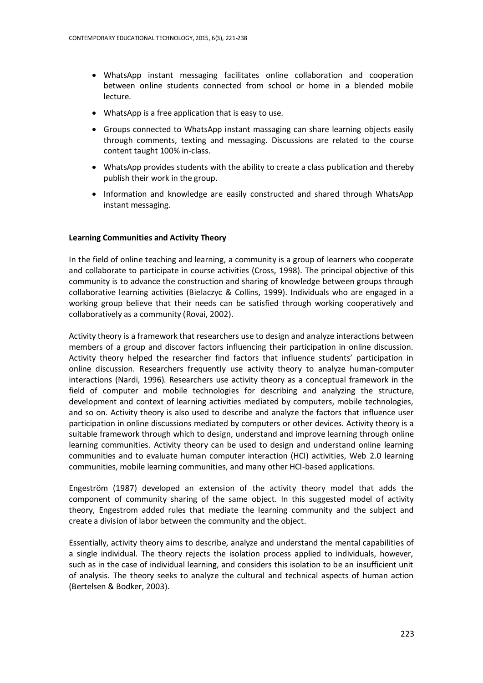- WhatsApp instant messaging facilitates online collaboration and cooperation between online students connected from school or home in a blended mobile lecture.
- WhatsApp is a free application that is easy to use.
- Groups connected to WhatsApp instant massaging can share learning objects easily through comments, texting and messaging. Discussions are related to the course content taught 100% in-class.
- WhatsApp provides students with the ability to create a class publication and thereby publish their work in the group.
- Information and knowledge are easily constructed and shared through WhatsApp instant messaging.

# **Learning Communities and Activity Theory**

In the field of online teaching and learning, a community is a group of learners who cooperate and collaborate to participate in course activities (Cross, 1998). The principal objective of this community is to advance the construction and sharing of knowledge between groups through collaborative learning activities (Bielaczyc & Collins, 1999). Individuals who are engaged in a working group believe that their needs can be satisfied through working cooperatively and collaboratively as a community (Rovai, 2002).

Activity theory is a framework that researchers use to design and analyze interactions between members of a group and discover factors influencing their participation in online discussion. Activity theory helped the researcher find factors that influence students' participation in online discussion. Researchers frequently use activity theory to analyze human-computer interactions (Nardi, 1996). Researchers use activity theory as a conceptual framework in the field of computer and mobile technologies for describing and analyzing the structure, development and context of learning activities mediated by computers, mobile technologies, and so on. Activity theory is also used to describe and analyze the factors that influence user participation in online discussions mediated by computers or other devices. Activity theory is a suitable framework through which to design, understand and improve learning through online learning communities. Activity theory can be used to design and understand online learning communities and to evaluate human computer interaction (HCI) activities, Web 2.0 learning communities, mobile learning communities, and many other HCI-based applications.

Engeström (1987) developed an extension of the activity theory model that adds the component of community sharing of the same object. In this suggested model of activity theory, Engestrom added rules that mediate the learning community and the subject and create a division of labor between the community and the object.

Essentially, activity theory aims to describe, analyze and understand the mental capabilities of a single individual. The theory rejects the isolation process applied to individuals, however, such as in the case of individual learning, and considers this isolation to be an insufficient unit of analysis. The theory seeks to analyze the cultural and technical aspects of human action (Bertelsen & Bodker, 2003).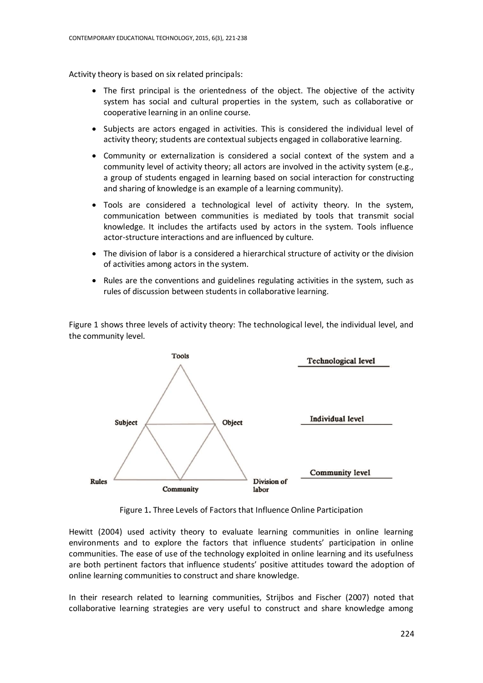Activity theory is based on six related principals:

- The first principal is the orientedness of the object. The objective of the activity system has social and cultural properties in the system, such as collaborative or cooperative learning in an online course.
- Subjects are actors engaged in activities. This is considered the individual level of activity theory; students are contextual subjects engaged in collaborative learning.
- Community or externalization is considered a social context of the system and a community level of activity theory; all actors are involved in the activity system (e.g., a group of students engaged in learning based on social interaction for constructing and sharing of knowledge is an example of a learning community).
- Tools are considered a technological level of activity theory. In the system, communication between communities is mediated by tools that transmit social knowledge. It includes the artifacts used by actors in the system. Tools influence actor-structure interactions and are influenced by culture.
- The division of labor is a considered a hierarchical structure of activity or the division of activities among actors in the system.
- Rules are the conventions and guidelines regulating activities in the system, such as rules of discussion between students in collaborative learning.

Figure 1 shows three levels of activity theory: The technological level, the individual level, and the community level.



Figure 1**.** Three Levels of Factors that Influence Online Participation

Hewitt (2004) used activity theory to evaluate learning communities in online learning environments and to explore the factors that influence students' participation in online communities. The ease of use of the technology exploited in online learning and its usefulness are both pertinent factors that influence students' positive attitudes toward the adoption of online learning communities to construct and share knowledge.

In their research related to learning communities, Strijbos and Fischer (2007) noted that collaborative learning strategies are very useful to construct and share knowledge among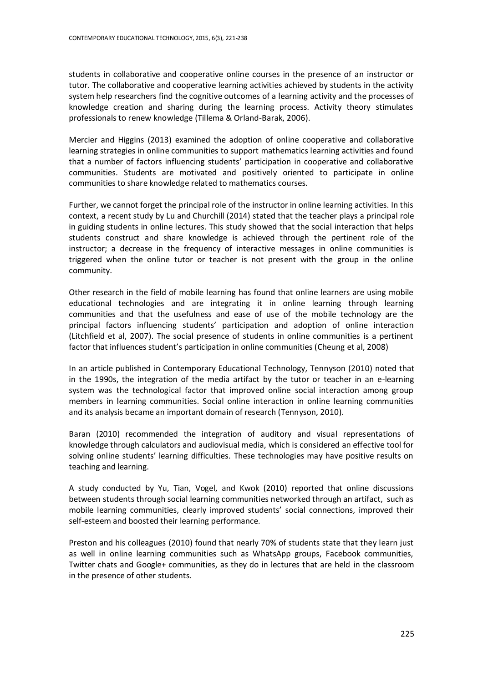students in collaborative and cooperative online courses in the presence of an instructor or tutor. The collaborative and cooperative learning activities achieved by students in the activity system help researchers find the cognitive outcomes of a learning activity and the processes of knowledge creation and sharing during the learning process. Activity theory stimulates professionals to renew knowledge (Tillema & Orland-Barak, 2006).

Mercier and Higgins (2013) examined the adoption of online cooperative and collaborative learning strategies in online communities to support mathematics learning activities and found that a number of factors influencing students' participation in cooperative and collaborative communities. Students are motivated and positively oriented to participate in online communities to share knowledge related to mathematics courses.

Further, we cannot forget the principal role of the instructor in online learning activities. In this context, a recent study by Lu and Churchill (2014) stated that the teacher plays a principal role in guiding students in online lectures. This study showed that the social interaction that helps students construct and share knowledge is achieved through the pertinent role of the instructor; a decrease in the frequency of interactive messages in online communities is triggered when the online tutor or teacher is not present with the group in the online community.

Other research in the field of mobile learning has found that online learners are using mobile educational technologies and are integrating it in online learning through learning communities and that the usefulness and ease of use of the mobile technology are the principal factors influencing students' participation and adoption of online interaction (Litchfield et al, 2007). The social presence of students in online communities is a pertinent factor that influences student's participation in online communities (Cheung et al, 2008)

In an article published in Contemporary Educational Technology, Tennyson (2010) noted that in the 1990s, the integration of the media artifact by the tutor or teacher in an e-learning system was the technological factor that improved online social interaction among group members in learning communities. Social online interaction in online learning communities and its analysis became an important domain of research (Tennyson, 2010).

Baran (2010) recommended the integration of auditory and visual representations of knowledge through calculators and audiovisual media, which is considered an effective tool for solving online students' learning difficulties. These technologies may have positive results on teaching and learning.

A study conducted by Yu, Tian, Vogel, and Kwok (2010) reported that online discussions between students through social learning communities networked through an artifact, such as mobile learning communities, clearly improved students' social connections, improved their self-esteem and boosted their learning performance.

Preston and his colleagues (2010) found that nearly 70% of students state that they learn just as well in online learning communities such as WhatsApp groups, Facebook communities, Twitter chats and Google+ communities, as they do in lectures that are held in the classroom in the presence of other students.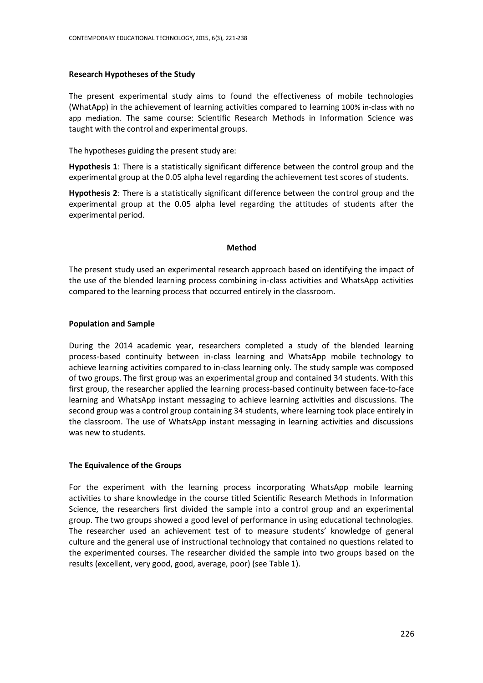#### **Research Hypotheses of the Study**

The present experimental study aims to found the effectiveness of mobile technologies (WhatApp) in the achievement of learning activities compared to learning 100% in-class with no app mediation. The same course: Scientific Research Methods in Information Science was taught with the control and experimental groups.

The hypotheses guiding the present study are:

**Hypothesis 1**: There is a statistically significant difference between the control group and the experimental group at the 0.05 alpha level regarding the achievement test scores of students.

**Hypothesis 2**: There is a statistically significant difference between the control group and the experimental group at the 0.05 alpha level regarding the attitudes of students after the experimental period.

#### **Method**

The present study used an experimental research approach based on identifying the impact of the use of the blended learning process combining in-class activities and WhatsApp activities compared to the learning process that occurred entirely in the classroom.

#### **Population and Sample**

During the 2014 academic year, researchers completed a study of the blended learning process-based continuity between in-class learning and WhatsApp mobile technology to achieve learning activities compared to in-class learning only. The study sample was composed of two groups. The first group was an experimental group and contained 34 students. With this first group, the researcher applied the learning process-based continuity between face-to-face learning and WhatsApp instant messaging to achieve learning activities and discussions. The second group was a control group containing 34 students, where learning took place entirely in the classroom. The use of WhatsApp instant messaging in learning activities and discussions was new to students.

#### **The Equivalence of the Groups**

For the experiment with the learning process incorporating WhatsApp mobile learning activities to share knowledge in the course titled Scientific Research Methods in Information Science, the researchers first divided the sample into a control group and an experimental group. The two groups showed a good level of performance in using educational technologies. The researcher used an achievement test of to measure students' knowledge of general culture and the general use of instructional technology that contained no questions related to the experimented courses. The researcher divided the sample into two groups based on the results (excellent, very good, good, average, poor) (see Table 1).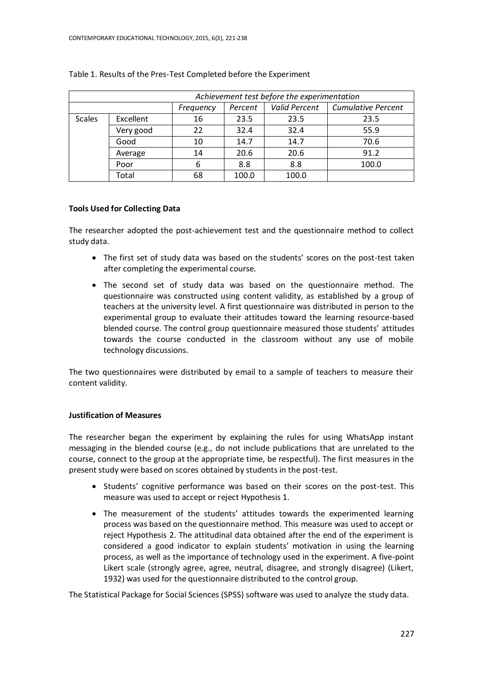|                                         | Achievement test before the experimentation |           |              |                      |                           |  |  |  |
|-----------------------------------------|---------------------------------------------|-----------|--------------|----------------------|---------------------------|--|--|--|
|                                         |                                             | Frequency | Percent      | <b>Valid Percent</b> | <b>Cumulative Percent</b> |  |  |  |
| Excellent<br><b>Scales</b><br>Very good |                                             | 16        | 23.5<br>23.5 |                      | 23.5                      |  |  |  |
|                                         |                                             | 22        | 32.4         | 32.4                 | 55.9                      |  |  |  |
|                                         | Good                                        | 10        | 14.7         | 14.7                 | 70.6                      |  |  |  |
|                                         | Average                                     |           | 20.6         | 20.6                 | 91.2                      |  |  |  |
|                                         | Poor                                        | 6         | 8.8          | 8.8                  | 100.0                     |  |  |  |
|                                         | Total                                       | 68        | 100.0        | 100.0                |                           |  |  |  |

### Table 1. Results of the Pres-Test Completed before the Experiment

# **Tools Used for Collecting Data**

The researcher adopted the post-achievement test and the questionnaire method to collect study data.

- The first set of study data was based on the students' scores on the post-test taken after completing the experimental course.
- The second set of study data was based on the questionnaire method. The questionnaire was constructed using content validity, as established by a group of teachers at the university level. A first questionnaire was distributed in person to the experimental group to evaluate their attitudes toward the learning resource-based blended course. The control group questionnaire measured those students' attitudes towards the course conducted in the classroom without any use of mobile technology discussions.

The two questionnaires were distributed by email to a sample of teachers to measure their content validity.

# **Justification of Measures**

The researcher began the experiment by explaining the rules for using WhatsApp instant messaging in the blended course (e.g., do not include publications that are unrelated to the course, connect to the group at the appropriate time, be respectful). The first measures in the present study were based on scores obtained by students in the post-test.

- Students' cognitive performance was based on their scores on the post-test. This measure was used to accept or reject Hypothesis 1.
- The measurement of the students' attitudes towards the experimented learning process was based on the questionnaire method. This measure was used to accept or reject Hypothesis 2. The attitudinal data obtained after the end of the experiment is considered a good indicator to explain students' motivation in using the learning process, as well as the importance of technology used in the experiment. A five-point Likert scale (strongly agree, agree, neutral, disagree, and strongly disagree) (Likert, 1932) was used for the questionnaire distributed to the control group.

The Statistical Package for Social Sciences (SPSS) software was used to analyze the study data.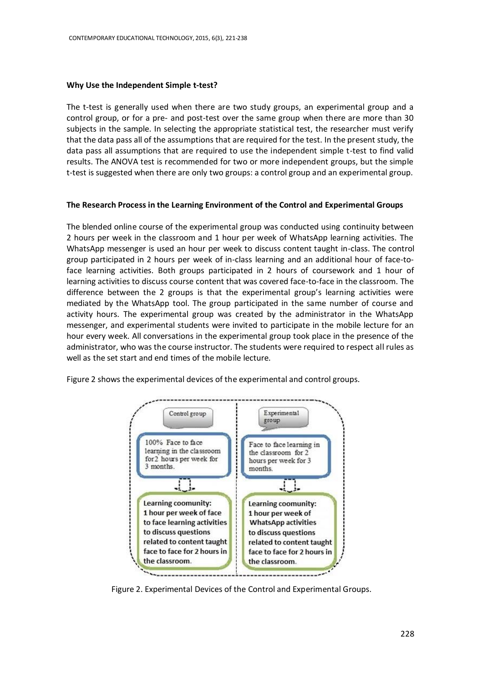#### **Why Use the Independent Simple t-test?**

The t-test is generally used when there are two study groups, an experimental group and a control group, or for a pre- and post-test over the same group when there are more than 30 subjects in the sample. In selecting the appropriate statistical test, the researcher must verify that the data pass all of the assumptions that are required for the test. In the present study, the data pass all assumptions that are required to use the independent simple t-test to find valid results. The ANOVA test is recommended for two or more independent groups, but the simple t-test is suggested when there are only two groups: a control group and an experimental group.

### **The Research Process in the Learning Environment of the Control and Experimental Groups**

The blended online course of the experimental group was conducted using continuity between 2 hours per week in the classroom and 1 hour per week of WhatsApp learning activities. The WhatsApp messenger is used an hour per week to discuss content taught in-class. The control group participated in 2 hours per week of in-class learning and an additional hour of face-toface learning activities. Both groups participated in 2 hours of coursework and 1 hour of learning activities to discuss course content that was covered face-to-face in the classroom. The difference between the 2 groups is that the experimental group's learning activities were mediated by the WhatsApp tool. The group participated in the same number of course and activity hours. The experimental group was created by the administrator in the WhatsApp messenger, and experimental students were invited to participate in the mobile lecture for an hour every week. All conversations in the experimental group took place in the presence of the administrator, who was the course instructor. The students were required to respect all rules as well as the set start and end times of the mobile lecture.

Figure 2 shows the experimental devices of the experimental and control groups.



Figure 2. Experimental Devices of the Control and Experimental Groups.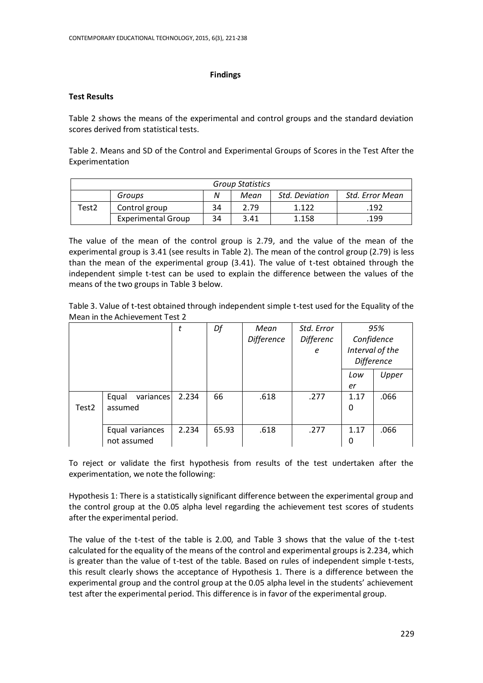## **Findings**

## **Test Results**

Table 2 shows the means of the experimental and control groups and the standard deviation scores derived from statistical tests.

Table 2. Means and SD of the Control and Experimental Groups of Scores in the Test After the Experimentation

| <b>Group Statistics</b> |                           |    |      |                       |                 |  |  |  |
|-------------------------|---------------------------|----|------|-----------------------|-----------------|--|--|--|
|                         | Groups                    | N  | Mean | <b>Std. Deviation</b> | Std. Error Mean |  |  |  |
| Test2                   | Control group             | 34 | 2.79 | 1.122                 | .192            |  |  |  |
|                         | <b>Experimental Group</b> | 34 | 3.41 | 1.158                 | 199             |  |  |  |

The value of the mean of the control group is 2.79, and the value of the mean of the experimental group is 3.41 (see results in Table 2). The mean of the control group (2.79) is less than the mean of the experimental group (3.41). The value of t-test obtained through the independent simple t-test can be used to explain the difference between the values of the means of the two groups in Table 3 below.

Table 3. Value of t-test obtained through independent simple t-test used for the Equality of the Mean in the Achievement Test 2

|       |                    | t     | Df    | Mean              | Std. Error |                   | 95%   |
|-------|--------------------|-------|-------|-------------------|------------|-------------------|-------|
|       |                    |       |       | <b>Difference</b> | Differenc  | Confidence        |       |
|       |                    |       |       |                   | е          | Interval of the   |       |
|       |                    |       |       |                   |            | <b>Difference</b> |       |
|       |                    |       |       |                   |            | Low               | Upper |
|       |                    |       |       |                   |            | er                |       |
|       | variances<br>Equal | 2.234 | 66    | .618              | .277       | 1.17              | .066  |
| Test2 | assumed            |       |       |                   |            | 0                 |       |
|       |                    |       |       |                   |            |                   |       |
|       | Equal variances    | 2.234 | 65.93 | .618              | .277       | 1.17              | .066  |
|       | not assumed        |       |       |                   |            | 0                 |       |

To reject or validate the first hypothesis from results of the test undertaken after the experimentation, we note the following:

Hypothesis 1: There is a statistically significant difference between the experimental group and the control group at the 0.05 alpha level regarding the achievement test scores of students after the experimental period.

The value of the t-test of the table is 2.00, and Table 3 shows that the value of the t-test calculated for the equality of the means of the control and experimental groups is 2.234, which is greater than the value of t-test of the table. Based on rules of independent simple t-tests, this result clearly shows the acceptance of Hypothesis 1. There is a difference between the experimental group and the control group at the 0.05 alpha level in the students' achievement test after the experimental period. This difference is in favor of the experimental group.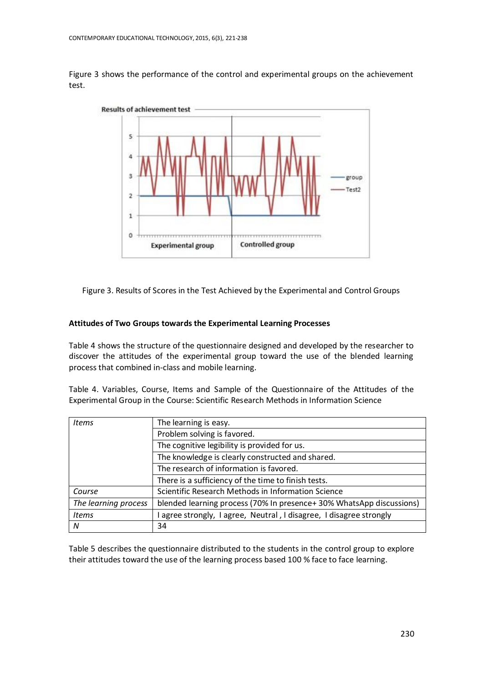Figure 3 shows the performance of the control and experimental groups on the achievement test.



Figure 3. Results of Scores in the Test Achieved by the Experimental and Control Groups

# **Attitudes of Two Groups towards the Experimental Learning Processes**

Table 4 shows the structure of the questionnaire designed and developed by the researcher to discover the attitudes of the experimental group toward the use of the blended learning process that combined in-class and mobile learning.

Table 4. Variables, Course, Items and Sample of the Questionnaire of the Attitudes of the Experimental Group in the Course: Scientific Research Methods in Information Science

| <b>Items</b>         | The learning is easy.                                               |  |  |  |  |  |
|----------------------|---------------------------------------------------------------------|--|--|--|--|--|
|                      | Problem solving is favored.                                         |  |  |  |  |  |
|                      | The cognitive legibility is provided for us.                        |  |  |  |  |  |
|                      | The knowledge is clearly constructed and shared.                    |  |  |  |  |  |
|                      | The research of information is favored.                             |  |  |  |  |  |
|                      | There is a sufficiency of the time to finish tests.                 |  |  |  |  |  |
| Course               | Scientific Research Methods in Information Science                  |  |  |  |  |  |
| The learning process | blended learning process (70% In presence+30% WhatsApp discussions) |  |  |  |  |  |
| <b>Items</b>         | l agree strongly, I agree, Neutral, I disagree, I disagree strongly |  |  |  |  |  |
| N                    | 34                                                                  |  |  |  |  |  |

Table 5 describes the questionnaire distributed to the students in the control group to explore their attitudes toward the use of the learning process based 100 % face to face learning.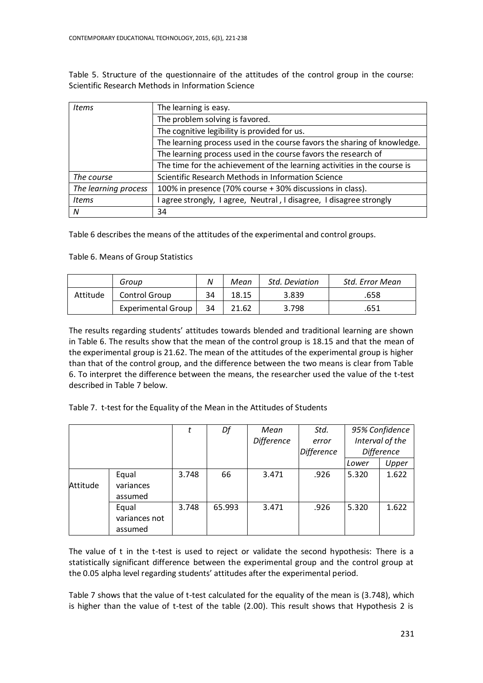Table 5. Structure of the questionnaire of the attitudes of the control group in the course: Scientific Research Methods in Information Science

| Items                | The learning is easy.                                                    |  |  |  |  |
|----------------------|--------------------------------------------------------------------------|--|--|--|--|
|                      | The problem solving is favored.                                          |  |  |  |  |
|                      | The cognitive legibility is provided for us.                             |  |  |  |  |
|                      | The learning process used in the course favors the sharing of knowledge. |  |  |  |  |
|                      | The learning process used in the course favors the research of           |  |  |  |  |
|                      | The time for the achievement of the learning activities in the course is |  |  |  |  |
| The course           | Scientific Research Methods in Information Science                       |  |  |  |  |
| The learning process | 100% in presence (70% course + 30% discussions in class).                |  |  |  |  |
| <b>Items</b>         | agree strongly, I agree, Neutral, I disagree, I disagree strongly        |  |  |  |  |
| N                    | 34                                                                       |  |  |  |  |

Table 6 describes the means of the attitudes of the experimental and control groups.

# Table 6. Means of Group Statistics

|          | Group                     | N  | Mean  | <b>Std. Deviation</b> | Std. Error Mean |
|----------|---------------------------|----|-------|-----------------------|-----------------|
| Attitude | Control Group             | 34 | 18.15 | 3.839                 | .658            |
|          | <b>Experimental Group</b> | 34 | 21.62 | 3.798                 | .651            |

The results regarding students' attitudes towards blended and traditional learning are shown in Table 6. The results show that the mean of the control group is 18.15 and that the mean of the experimental group is 21.62. The mean of the attitudes of the experimental group is higher than that of the control group, and the difference between the two means is clear from Table 6. To interpret the difference between the means, the researcher used the value of the t-test described in Table 7 below.

Table 7. t-test for the Equality of the Mean in the Attitudes of Students

|          |                                   |       | Df     | Mean              | Std.       | 95% Confidence    |       |
|----------|-----------------------------------|-------|--------|-------------------|------------|-------------------|-------|
|          |                                   |       |        | <b>Difference</b> | error      | Interval of the   |       |
|          |                                   |       |        |                   | Difference | <b>Difference</b> |       |
|          |                                   |       |        |                   |            | Lower             | Upper |
| Attitude | Equal<br>variances<br>assumed     | 3.748 | 66     | 3.471             | .926       | 5.320             | 1.622 |
|          | Equal<br>variances not<br>assumed | 3.748 | 65.993 | 3.471             | .926       | 5.320             | 1.622 |

The value of t in the t-test is used to reject or validate the second hypothesis: There is a statistically significant difference between the experimental group and the control group at the 0.05 alpha level regarding students' attitudes after the experimental period.

Table 7 shows that the value of t-test calculated for the equality of the mean is (3.748), which is higher than the value of t-test of the table (2.00). This result shows that Hypothesis 2 is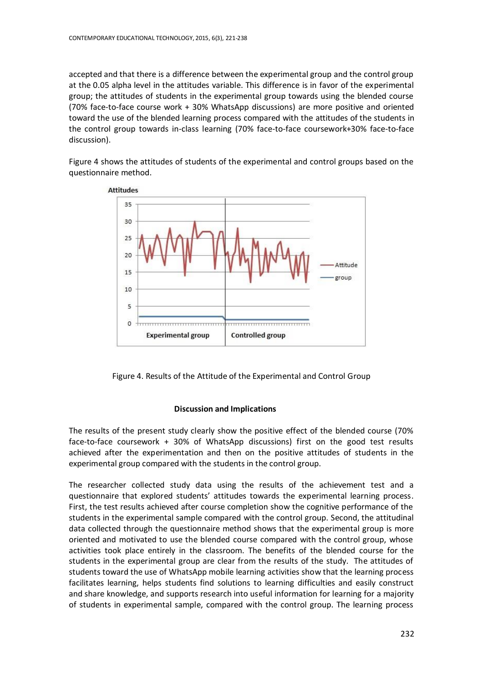accepted and that there is a difference between the experimental group and the control group at the 0.05 alpha level in the attitudes variable. This difference is in favor of the experimental group; the attitudes of students in the experimental group towards using the blended course (70% face-to-face course work + 30% WhatsApp discussions) are more positive and oriented toward the use of the blended learning process compared with the attitudes of the students in the control group towards in-class learning (70% face-to-face coursework+30% face-to-face discussion).

Figure 4 shows the attitudes of students of the experimental and control groups based on the questionnaire method.



Figure 4. Results of the Attitude of the Experimental and Control Group

# **Discussion and Implications**

The results of the present study clearly show the positive effect of the blended course (70% face-to-face coursework + 30% of WhatsApp discussions) first on the good test results achieved after the experimentation and then on the positive attitudes of students in the experimental group compared with the students in the control group.

The researcher collected study data using the results of the achievement test and a questionnaire that explored students' attitudes towards the experimental learning process. First, the test results achieved after course completion show the cognitive performance of the students in the experimental sample compared with the control group. Second, the attitudinal data collected through the questionnaire method shows that the experimental group is more oriented and motivated to use the blended course compared with the control group, whose activities took place entirely in the classroom. The benefits of the blended course for the students in the experimental group are clear from the results of the study. The attitudes of students toward the use of WhatsApp mobile learning activities show that the learning process facilitates learning, helps students find solutions to learning difficulties and easily construct and share knowledge, and supports research into useful information for learning for a majority of students in experimental sample, compared with the control group. The learning process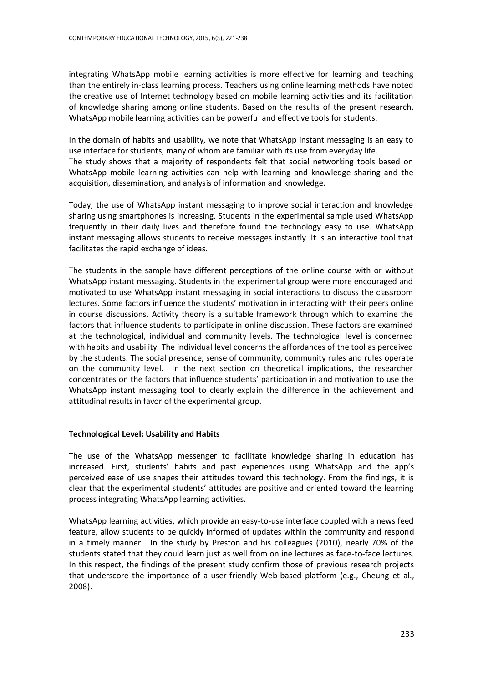integrating WhatsApp mobile learning activities is more effective for learning and teaching than the entirely in-class learning process. Teachers using online learning methods have noted the creative use of Internet technology based on mobile learning activities and its facilitation of knowledge sharing among online students. Based on the results of the present research, WhatsApp mobile learning activities can be powerful and effective tools for students.

In the domain of habits and usability, we note that WhatsApp instant messaging is an easy to use interface for students, many of whom are familiar with its use from everyday life. The study shows that a majority of respondents felt that social networking tools based on WhatsApp mobile learning activities can help with learning and knowledge sharing and the acquisition, dissemination, and analysis of information and knowledge.

Today, the use of WhatsApp instant messaging to improve social interaction and knowledge sharing using smartphones is increasing. Students in the experimental sample used WhatsApp frequently in their daily lives and therefore found the technology easy to use. WhatsApp instant messaging allows students to receive messages instantly. It is an interactive tool that facilitates the rapid exchange of ideas.

The students in the sample have different perceptions of the online course with or without WhatsApp instant messaging. Students in the experimental group were more encouraged and motivated to use WhatsApp instant messaging in social interactions to discuss the classroom lectures. Some factors influence the students' motivation in interacting with their peers online in course discussions. Activity theory is a suitable framework through which to examine the factors that influence students to participate in online discussion. These factors are examined at the technological, individual and community levels. The technological level is concerned with habits and usability. The individual level concerns the affordances of the tool as perceived by the students. The social presence, sense of community, community rules and rules operate on the community level. In the next section on theoretical implications, the researcher concentrates on the factors that influence students' participation in and motivation to use the WhatsApp instant messaging tool to clearly explain the difference in the achievement and attitudinal results in favor of the experimental group.

# **Technological Level: Usability and Habits**

The use of the WhatsApp messenger to facilitate knowledge sharing in education has increased. First, students' habits and past experiences using WhatsApp and the app's perceived ease of use shapes their attitudes toward this technology. From the findings, it is clear that the experimental students' attitudes are positive and oriented toward the learning process integrating WhatsApp learning activities.

WhatsApp learning activities, which provide an easy-to-use interface coupled with a news feed feature, allow students to be quickly informed of updates within the community and respond in a timely manner. In the study by Preston and his colleagues (2010), nearly 70% of the students stated that they could learn just as well from online lectures as face-to-face lectures. In this respect, the findings of the present study confirm those of previous research projects that underscore the importance of a user-friendly Web-based platform (e.g., Cheung et al., 2008).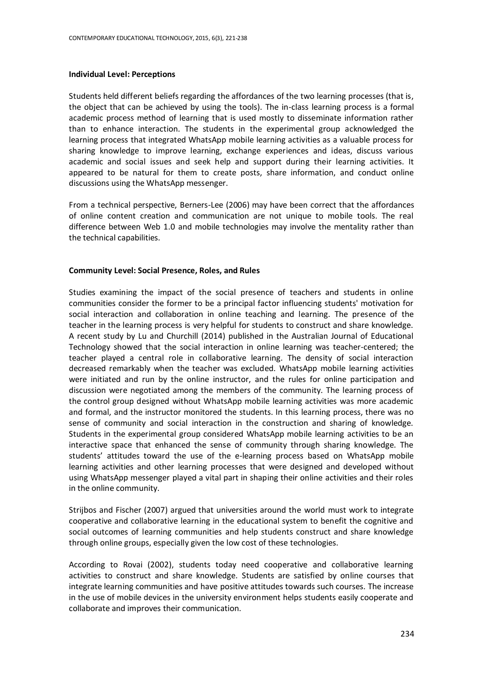#### **Individual Level: Perceptions**

Students held different beliefs regarding the affordances of the two learning processes (that is, the object that can be achieved by using the tools). The in-class learning process is a formal academic process method of learning that is used mostly to disseminate information rather than to enhance interaction. The students in the experimental group acknowledged the learning process that integrated WhatsApp mobile learning activities as a valuable process for sharing knowledge to improve learning, exchange experiences and ideas, discuss various academic and social issues and seek help and support during their learning activities. It appeared to be natural for them to create posts, share information, and conduct online discussions using the WhatsApp messenger.

From a technical perspective, Berners-Lee (2006) may have been correct that the affordances of online content creation and communication are not unique to mobile tools. The real difference between Web 1.0 and mobile technologies may involve the mentality rather than the technical capabilities.

#### **Community Level: Social Presence, Roles, and Rules**

Studies examining the impact of the social presence of teachers and students in online communities consider the former to be a principal factor influencing students' motivation for social interaction and collaboration in online teaching and learning. The presence of the teacher in the learning process is very helpful for students to construct and share knowledge. A recent study by Lu and Churchill (2014) published in the Australian Journal of Educational Technology showed that the social interaction in online learning was teacher-centered; the teacher played a central role in collaborative learning. The density of social interaction decreased remarkably when the teacher was excluded. WhatsApp mobile learning activities were initiated and run by the online instructor, and the rules for online participation and discussion were negotiated among the members of the community. The learning process of the control group designed without WhatsApp mobile learning activities was more academic and formal, and the instructor monitored the students. In this learning process, there was no sense of community and social interaction in the construction and sharing of knowledge. Students in the experimental group considered WhatsApp mobile learning activities to be an interactive space that enhanced the sense of community through sharing knowledge. The students' attitudes toward the use of the e-learning process based on WhatsApp mobile learning activities and other learning processes that were designed and developed without using WhatsApp messenger played a vital part in shaping their online activities and their roles in the online community.

Strijbos and Fischer (2007) argued that universities around the world must work to integrate cooperative and collaborative learning in the educational system to benefit the cognitive and social outcomes of learning communities and help students construct and share knowledge through online groups, especially given the low cost of these technologies.

According to Rovai (2002), students today need cooperative and collaborative learning activities to construct and share knowledge. Students are satisfied by online courses that integrate learning communities and have positive attitudes towards such courses. The increase in the use of mobile devices in the university environment helps students easily cooperate and collaborate and improves their communication.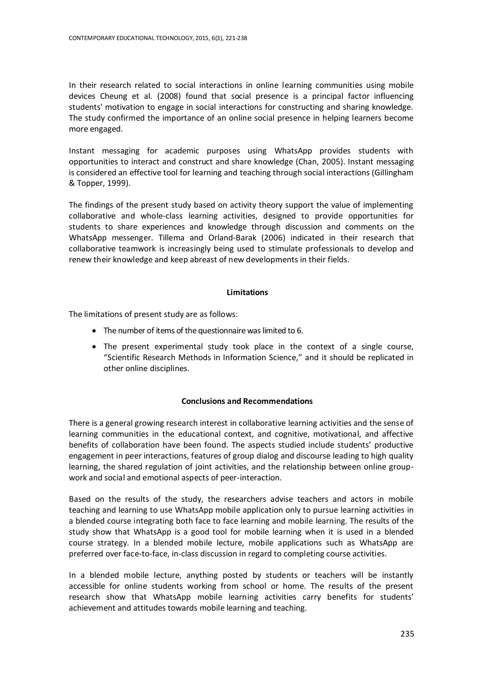In their research related to social interactions in online learning communities using mobile devices Cheung et al. (2008) found that social presence is a principal factor influencing students' motivation to engage in social interactions for constructing and sharing knowledge. The study confirmed the importance of an online social presence in helping learners become more engaged.

Instant messaging for academic purposes using WhatsApp provides students with opportunities to interact and construct and share knowledge (Chan, 2005). Instant messaging is considered an effective tool for learning and teaching through social interactions (Gillingham & Topper, 1999).

The findings of the present study based on activity theory support the value of implementing collaborative and whole-class learning activities, designed to provide opportunities for students to share experiences and knowledge through discussion and comments on the WhatsApp messenger. Tillema and Orland-Barak (2006) indicated in their research that collaborative teamwork is increasingly being used to stimulate professionals to develop and renew their knowledge and keep abreast of new developments in their fields.

# **Limitations**

The limitations of present study are as follows:

- The number of items of the questionnaire was limited to 6.
- The present experimental study took place in the context of a single course, "Scientific Research Methods in Information Science," and it should be replicated in other online disciplines.

# **Conclusions and Recommendations**

There is a general growing research interest in collaborative learning activities and the sense of learning communities in the educational context, and cognitive, motivational, and affective benefits of collaboration have been found. The aspects studied include students' productive engagement in peer interactions, features of group dialog and discourse leading to high quality learning, the shared regulation of joint activities, and the relationship between online groupwork and social and emotional aspects of peer-interaction.

Based on the results of the study, the researchers advise teachers and actors in mobile teaching and learning to use WhatsApp mobile application only to pursue learning activities in a blended course integrating both face to face learning and mobile learning. The results of the study show that WhatsApp is a good tool for mobile learning when it is used in a blended course strategy. In a blended mobile lecture, mobile applications such as WhatsApp are preferred over face-to-face, in-class discussion in regard to completing course activities.

In a blended mobile lecture, anything posted by students or teachers will be instantly accessible for online students working from school or home. The results of the present research show that WhatsApp mobile learning activities carry benefits for students' achievement and attitudes towards mobile learning and teaching.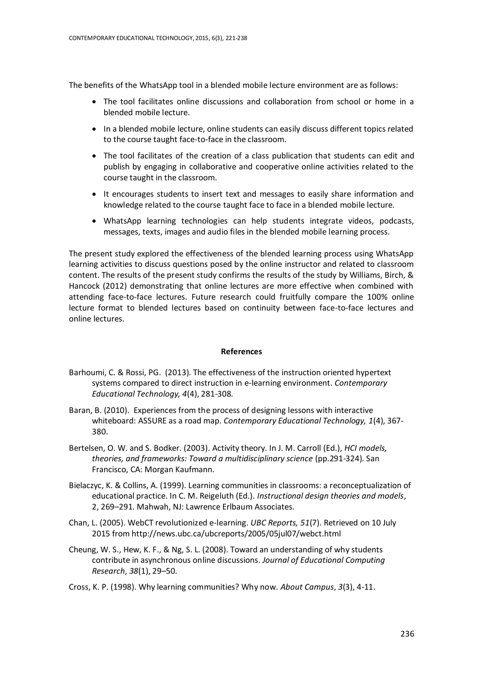The benefits of the WhatsApp tool in a blended mobile lecture environment are as follows:

- The tool facilitates online discussions and collaboration from school or home in a blended mobile lecture.
- In a blended mobile lecture, online students can easily discuss different topics related to the course taught face-to-face in the classroom.
- The tool facilitates of the creation of a class publication that students can edit and publish by engaging in collaborative and cooperative online activities related to the course taught in the classroom.
- It encourages students to insert text and messages to easily share information and knowledge related to the course taught face to face in a blended mobile lecture.
- WhatsApp learning technologies can help students integrate videos, podcasts, messages, texts, images and audio files in the blended mobile learning process.

The present study explored the effectiveness of the blended learning process using WhatsApp learning activities to discuss questions posed by the online instructor and related to classroom content. The results of the present study confirms the results of the study by Williams, Birch, & Hancock (2012) demonstrating that online lectures are more effective when combined with attending face-to-face lectures. Future research could fruitfully compare the 100% online lecture format to blended lectures based on continuity between face-to-face lectures and online lectures.

#### **References**

- Barhoumi, C. & Rossi, PG. (2013). The effectiveness of the instruction oriented hypertext systems compared to direct instruction in e-learning environment. *Contemporary Educational Technology, 4*(4), 281-308.
- Baran, B. (2010). Experiences from the process of designing lessons with interactive whiteboard: ASSURE as a road map. *Contemporary Educational Technology, 1*(4), 367- 380.
- Bertelsen, O. W. and S. Bodker. (2003). Activity theory. In J. M. Carroll (Ed.), *HCI models, theories, and frameworks: Toward a multidisciplinary science* (pp.291-324). San Francisco, CA: Morgan Kaufmann.
- Bielaczyc, K. & Collins, A. (1999). Learning communities in classrooms: a reconceptualization of educational practice. In C. M. Reigeluth (Ed.). *Instructional design theories and models*, 2, 269–291. Mahwah, NJ: Lawrence Erlbaum Associates.
- Chan, L. (2005). WebCT revolutionized e-learning. *UBC Reports, 51*(7). Retrieved on 10 July 2015 from http://news.ubc.ca/ubcreports/2005/05jul07/webct.html
- Cheung, W. S., Hew, K. F., & Ng, S. L. (2008). Toward an understanding of why students contribute in asynchronous online discussions. *Journal of Educational Computing Research*, *38*(1), 29–50.
- Cross, K. P. (1998). Why learning communities? Why now. *About Campus*, *3*(3), 4-11.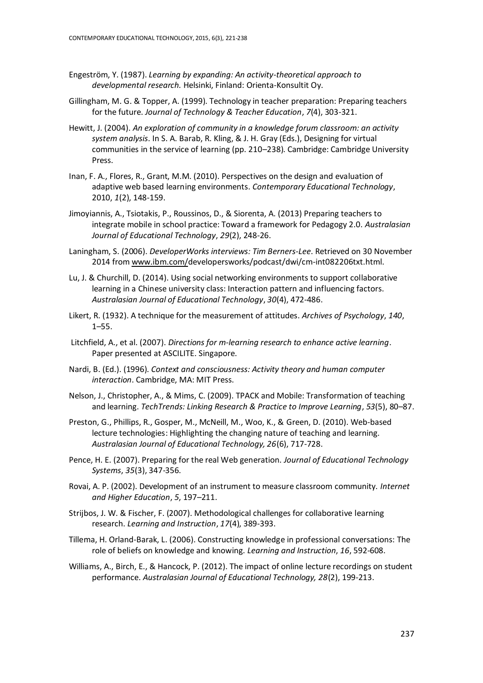- Engeström, Y. (1987). *Learning by expanding: An activity-theoretical approach to developmental research.* Helsinki, Finland: Orienta-Konsultit Oy.
- Gillingham, M. G. & Topper, A. (1999). Technology in teacher preparation: Preparing teachers for the future. *Journal of Technology & Teacher Education*, *7*(4), 303-321.
- Hewitt, J. (2004). *An exploration of community in a knowledge forum classroom: an activity system analysis*. In S. A. Barab, R. Kling, & J. H. Gray (Eds.), Designing for virtual communities in the service of learning (pp. 210–238). Cambridge: Cambridge University Press.
- Inan, F. A., Flores, R., Grant, M.M. (2010). Perspectives on the design and evaluation of adaptive web based learning environments. *Contemporary Educational Technology*, 2010, *1*(2), 148-159.
- Jimoyiannis, A., Tsiotakis, P., Roussinos, D., & Siorenta, A. (2013) Preparing teachers to integrate mobile in school practice: Toward a framework for Pedagogy 2.0. *Australasian Journal of Educational Technology*, *29*(2), 248-26.
- Laningham, S. (2006). *DeveloperWorks interviews: Tim Berners-Lee*. Retrieved on 30 November 2014 fro[m www.ibm.com/d](http://www.ibm.com/)evelopersworks/podcast/dwi/cm-int082206txt.html.
- Lu, J. & Churchill, D. (2014). Using social networking environments to support collaborative learning in a Chinese university class: Interaction pattern and influencing factors. *Australasian Journal of Educational Technology*, *30*(4), 472-486.
- [Likert, R.](http://en.wikipedia.org/wiki/Rensis_Likert) (1932). A technique for the measurement of attitudes. *Archives of Psychology*, *140*, 1–55.
- Litchfield, A., et al. (2007). *Directions for m-learning research to enhance active learning*. Paper presented at ASCILITE. Singapore.
- Nardi, B. (Ed.). (1996). *Context and consciousness: Activity theory and human computer interaction*. Cambridge, MA: MIT Press.
- Nelson, J., Christopher, A., & Mims, C. (2009). TPACK and Mobile: Transformation of teaching and learning. *TechTrends: Linking Research & Practice to Improve Learning*, *53*(5), 80–87.
- Preston, G., Phillips, R., Gosper, M., McNeill, M., Woo, K., & Green, D. (2010). Web-based lecture technologies: Highlighting the changing nature of teaching and learning. *Australasian Journal of Educational Technology, 26*(6), 717-728.
- Pence, H. E. (2007). Preparing for the real Web generation. *Journal of Educational Technology Systems*, *35*(3), 347-356.
- Rovai, A. P. (2002). Development of an instrument to measure classroom community. *Internet and Higher Education*, *5*, 197–211.
- Strijbos, J. W. & Fischer, F. (2007). Methodological challenges for collaborative learning research. *Learning and Instruction*, *17*(4), 389-393.
- Tillema, H. Orland-Barak, L. (2006). Constructing knowledge in professional conversations: The role of beliefs on knowledge and knowing*. Learning and Instruction*, *16*, 592-608.
- Williams, A., Birch, E., & Hancock, P. (2012). The impact of online lecture recordings on student performance. *Australasian Journal of Educational Technology, 28*(2), 199-213.